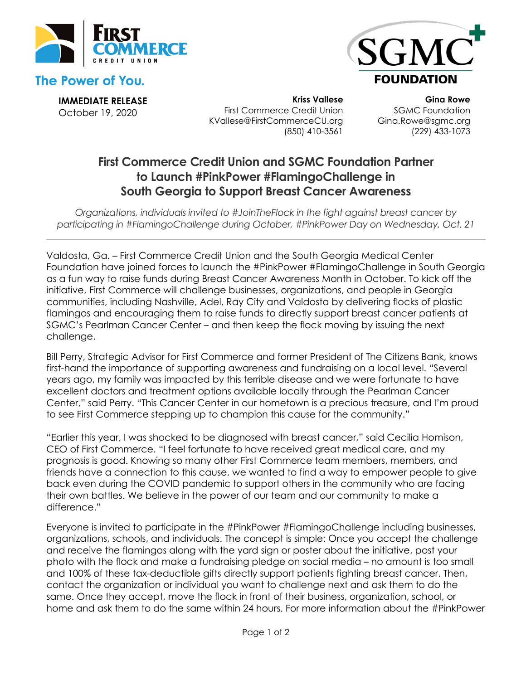

## **The Power of You.**



**IMMEDIATE RELEASE** October 19, 2020

**Kriss Vallese** First Commerce Credit Union KVallese@FirstCommerceCU.org (850) 410-3561

**Gina Rowe** SGMC Foundation Gina.Rowe@sgmc.org (229) 433-1073

# **First Commerce Credit Union and SGMC Foundation Partner to Launch #PinkPower #FlamingoChallenge in South Georgia to Support Breast Cancer Awareness**

*Organizations, individuals invited to #JoinTheFlock in the fight against breast cancer by participating in #FlamingoChallenge during October, #PinkPower Day on Wednesday, Oct. 21* 

Valdosta, Ga. – First Commerce Credit Union and the South Georgia Medical Center Foundation have joined forces to launch the #PinkPower #FlamingoChallenge in South Georgia as a fun way to raise funds during Breast Cancer Awareness Month in October. To kick off the initiative, First Commerce will challenge businesses, organizations, and people in Georgia communities, including Nashville, Adel, Ray City and Valdosta by delivering flocks of plastic flamingos and encouraging them to raise funds to directly support breast cancer patients at SGMC's Pearlman Cancer Center – and then keep the flock moving by issuing the next challenge.

Bill Perry, Strategic Advisor for First Commerce and former President of The Citizens Bank, knows first-hand the importance of supporting awareness and fundraising on a local level. "Several years ago, my family was impacted by this terrible disease and we were fortunate to have excellent doctors and treatment options available locally through the Pearlman Cancer Center," said Perry. "This Cancer Center in our hometown is a precious treasure, and I'm proud to see First Commerce stepping up to champion this cause for the community."

"Earlier this year, I was shocked to be diagnosed with breast cancer," said Cecilia Homison, CEO of First Commerce. "I feel fortunate to have received great medical care, and my prognosis is good. Knowing so many other First Commerce team members, members, and friends have a connection to this cause, we wanted to find a way to empower people to give back even during the COVID pandemic to support others in the community who are facing their own battles. We believe in the power of our team and our community to make a difference."

Everyone is invited to participate in the #PinkPower #FlamingoChallenge including businesses, organizations, schools, and individuals. The concept is simple: Once you accept the challenge and receive the flamingos along with the yard sign or poster about the initiative, post your photo with the flock and make a fundraising pledge on social media – no amount is too small and 100% of these tax-deductible gifts directly support patients fighting breast cancer. Then, contact the organization or individual you want to challenge next and ask them to do the same. Once they accept, move the flock in front of their business, organization, school, or home and ask them to do the same within 24 hours. For more information about the #PinkPower